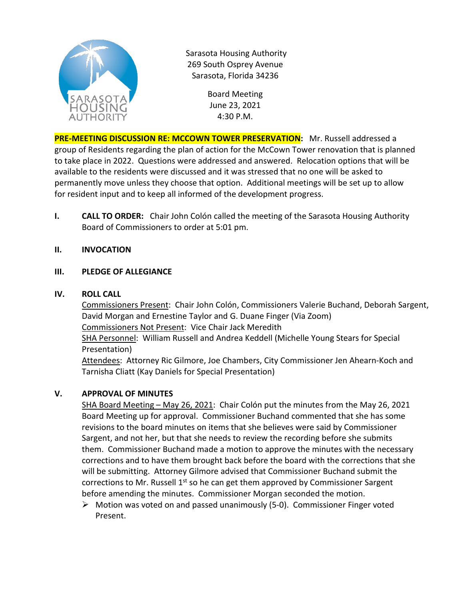

Sarasota Housing Authority 269 South Osprey Avenue Sarasota, Florida 34236

> Board Meeting June 23, 2021 4:30 P.M.

**PRE-MEETING DISCUSSION RE: MCCOWN TOWER PRESERVATION:** Mr. Russell addressed a group of Residents regarding the plan of action for the McCown Tower renovation that is planned to take place in 2022. Questions were addressed and answered. Relocation options that will be available to the residents were discussed and it was stressed that no one will be asked to permanently move unless they choose that option. Additional meetings will be set up to allow for resident input and to keep all informed of the development progress.

**I. CALL TO ORDER:** Chair John Colón called the meeting of the Sarasota Housing Authority Board of Commissioners to order at 5:01 pm.

# **II. INVOCATION**

## **III. PLEDGE OF ALLEGIANCE**

## **IV. ROLL CALL**

Commissioners Present: Chair John Colón, Commissioners Valerie Buchand, Deborah Sargent, David Morgan and Ernestine Taylor and G. Duane Finger (Via Zoom) Commissioners Not Present: Vice Chair Jack Meredith SHA Personnel: William Russell and Andrea Keddell (Michelle Young Stears for Special Presentation) Attendees: Attorney Ric Gilmore, Joe Chambers, City Commissioner Jen Ahearn-Koch and Tarnisha Cliatt (Kay Daniels for Special Presentation)

## **V. APPROVAL OF MINUTES**

SHA Board Meeting – May 26, 2021: Chair Colón put the minutes from the May 26, 2021 Board Meeting up for approval. Commissioner Buchand commented that she has some revisions to the board minutes on items that she believes were said by Commissioner Sargent, and not her, but that she needs to review the recording before she submits them. Commissioner Buchand made a motion to approve the minutes with the necessary corrections and to have them brought back before the board with the corrections that she will be submitting. Attorney Gilmore advised that Commissioner Buchand submit the corrections to Mr. Russell  $1<sup>st</sup>$  so he can get them approved by Commissioner Sargent before amending the minutes. Commissioner Morgan seconded the motion.

 Motion was voted on and passed unanimously (5-0). Commissioner Finger voted Present.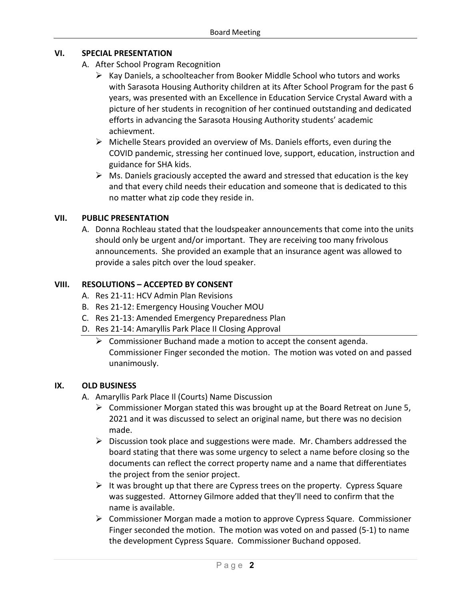## **VI. SPECIAL PRESENTATION**

- A. After School Program Recognition
	- $\triangleright$  Kay Daniels, a schoolteacher from Booker Middle School who tutors and works with Sarasota Housing Authority children at its After School Program for the past 6 years, was presented with an Excellence in Education Service Crystal Award with a picture of her students in recognition of her continued outstanding and dedicated efforts in advancing the Sarasota Housing Authority students' academic achievment.
	- $\triangleright$  Michelle Stears provided an overview of Ms. Daniels efforts, even during the COVID pandemic, stressing her continued love, support, education, instruction and guidance for SHA kids.
	- $\triangleright$  Ms. Daniels graciously accepted the award and stressed that education is the key and that every child needs their education and someone that is dedicated to this no matter what zip code they reside in.

### **VII. PUBLIC PRESENTATION**

A. Donna Rochleau stated that the loudspeaker announcements that come into the units should only be urgent and/or important. They are receiving too many frivolous announcements. She provided an example that an insurance agent was allowed to provide a sales pitch over the loud speaker.

### **VIII. RESOLUTIONS – ACCEPTED BY CONSENT**

- A. Res 21-11: HCV Admin Plan Revisions
- B. Res 21-12: Emergency Housing Voucher MOU
- C. Res 21-13: Amended Emergency Preparedness Plan
- D. Res 21-14: Amaryllis Park Place II Closing Approval
	- $\triangleright$  Commissioner Buchand made a motion to accept the consent agenda. Commissioner Finger seconded the motion. The motion was voted on and passed unanimously.

#### **IX. OLD BUSINESS**

- A. Amaryllis Park Place Il (Courts) Name Discussion
	- $\triangleright$  Commissioner Morgan stated this was brought up at the Board Retreat on June 5, 2021 and it was discussed to select an original name, but there was no decision made.
	- $\triangleright$  Discussion took place and suggestions were made. Mr. Chambers addressed the board stating that there was some urgency to select a name before closing so the documents can reflect the correct property name and a name that differentiates the project from the senior project.
	- $\triangleright$  It was brought up that there are Cypress trees on the property. Cypress Square was suggested. Attorney Gilmore added that they'll need to confirm that the name is available.
	- $\triangleright$  Commissioner Morgan made a motion to approve Cypress Square. Commissioner Finger seconded the motion. The motion was voted on and passed (5-1) to name the development Cypress Square. Commissioner Buchand opposed.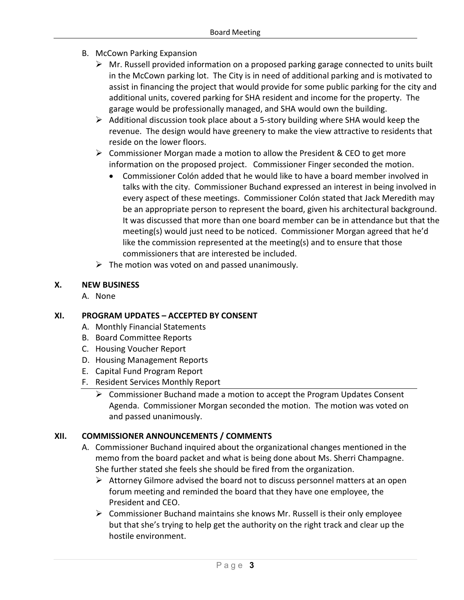- B. McCown Parking Expansion
	- $\triangleright$  Mr. Russell provided information on a proposed parking garage connected to units built in the McCown parking lot. The City is in need of additional parking and is motivated to assist in financing the project that would provide for some public parking for the city and additional units, covered parking for SHA resident and income for the property. The garage would be professionally managed, and SHA would own the building.
	- $\triangleright$  Additional discussion took place about a 5-story building where SHA would keep the revenue. The design would have greenery to make the view attractive to residents that reside on the lower floors.
	- $\triangleright$  Commissioner Morgan made a motion to allow the President & CEO to get more information on the proposed project. Commissioner Finger seconded the motion.
		- Commissioner Colón added that he would like to have a board member involved in talks with the city. Commissioner Buchand expressed an interest in being involved in every aspect of these meetings. Commissioner Colón stated that Jack Meredith may be an appropriate person to represent the board, given his architectural background. It was discussed that more than one board member can be in attendance but that the meeting(s) would just need to be noticed. Commissioner Morgan agreed that he'd like the commission represented at the meeting(s) and to ensure that those commissioners that are interested be included.
	- $\triangleright$  The motion was voted on and passed unanimously.

### **X. NEW BUSINESS**

A. None

## **XI. PROGRAM UPDATES – ACCEPTED BY CONSENT**

- A. Monthly Financial Statements
- B. Board Committee Reports
- C. Housing Voucher Report
- D. Housing Management Reports
- E. Capital Fund Program Report
- F. Resident Services Monthly Report
	- $\triangleright$  Commissioner Buchand made a motion to accept the Program Updates Consent Agenda. Commissioner Morgan seconded the motion. The motion was voted on and passed unanimously.

#### **XII. COMMISSIONER ANNOUNCEMENTS / COMMENTS**

- A. Commissioner Buchand inquired about the organizational changes mentioned in the memo from the board packet and what is being done about Ms. Sherri Champagne. She further stated she feels she should be fired from the organization.
	- $\triangleright$  Attorney Gilmore advised the board not to discuss personnel matters at an open forum meeting and reminded the board that they have one employee, the President and CEO.
	- $\triangleright$  Commissioner Buchand maintains she knows Mr. Russell is their only employee but that she's trying to help get the authority on the right track and clear up the hostile environment.